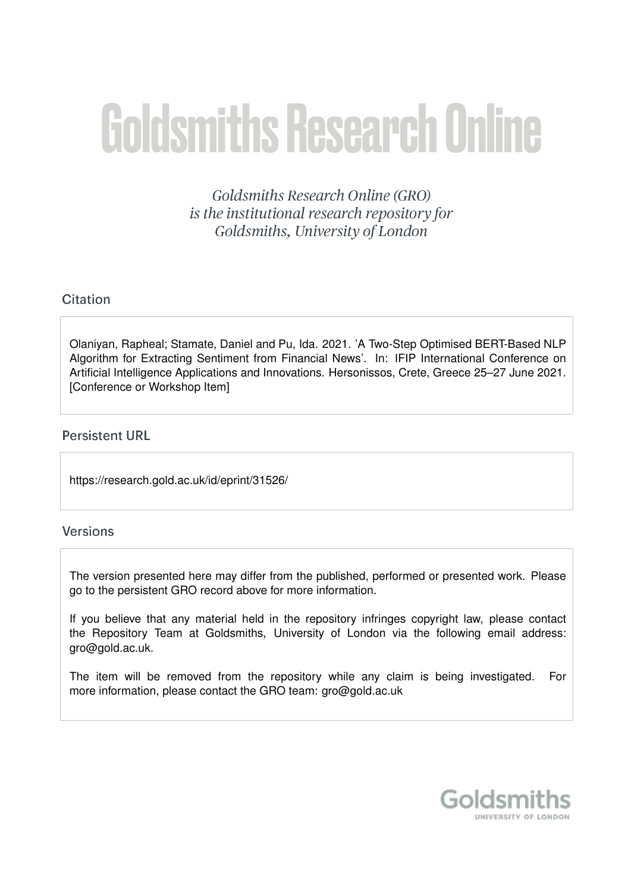# **Goldsmiths Research Online**

Goldsmiths Research Online (GRO) is the institutional research repository for Goldsmiths, University of London

# Citation

Olaniyan, Rapheal; Stamate, Daniel and Pu, Ida. 2021. 'A Two-Step Optimised BERT-Based NLP Algorithm for Extracting Sentiment from Financial News'. In: IFIP International Conference on Artificial Intelligence Applications and Innovations. Hersonissos, Crete, Greece 25–27 June 2021. [Conference or Workshop Item]

## **Persistent URL**

https://research.gold.ac.uk/id/eprint/31526/

## **Versions**

The version presented here may differ from the published, performed or presented work. Please go to the persistent GRO record above for more information.

If you believe that any material held in the repository infringes copyright law, please contact the Repository Team at Goldsmiths, University of London via the following email address: gro@gold.ac.uk.

The item will be removed from the repository while any claim is being investigated. For more information, please contact the GRO team: gro@gold.ac.uk

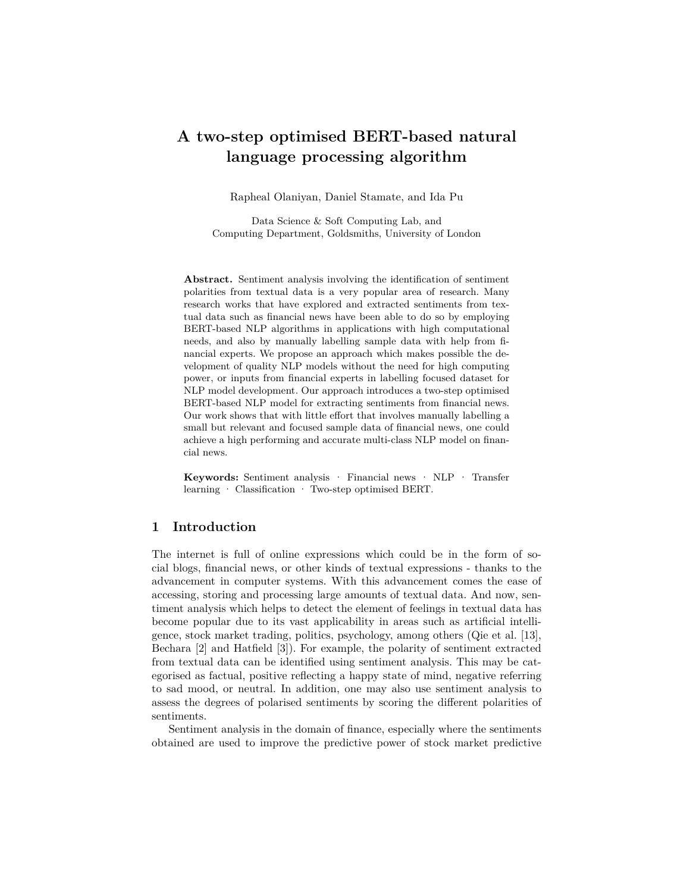# **A two-step optimised BERT-based natural language processing algorithm**

Rapheal Olaniyan, Daniel Stamate, and Ida Pu

Data Science & Soft Computing Lab, and Computing Department, Goldsmiths, University of London

**Abstract.** Sentiment analysis involving the identification of sentiment polarities from textual data is a very popular area of research. Many research works that have explored and extracted sentiments from textual data such as financial news have been able to do so by employing BERT-based NLP algorithms in applications with high computational needs, and also by manually labelling sample data with help from financial experts. We propose an approach which makes possible the development of quality NLP models without the need for high computing power, or inputs from financial experts in labelling focused dataset for NLP model development. Our approach introduces a two-step optimised BERT-based NLP model for extracting sentiments from financial news. Our work shows that with little effort that involves manually labelling a small but relevant and focused sample data of financial news, one could achieve a high performing and accurate multi-class NLP model on financial news.

**Keywords:** Sentiment analysis · Financial news · NLP · Transfer learning · Classification · Two-step optimised BERT.

## **1 Introduction**

The internet is full of online expressions which could be in the form of social blogs, financial news, or other kinds of textual expressions - thanks to the advancement in computer systems. With this advancement comes the ease of accessing, storing and processing large amounts of textual data. And now, sentiment analysis which helps to detect the element of feelings in textual data has become popular due to its vast applicability in areas such as artificial intelligence, stock market trading, politics, psychology, among others (Qie et al. [13], Bechara [2] and Hatfield [3]). For example, the polarity of sentiment extracted from textual data can be identified using sentiment analysis. This may be categorised as factual, positive reflecting a happy state of mind, negative referring to sad mood, or neutral. In addition, one may also use sentiment analysis to assess the degrees of polarised sentiments by scoring the different polarities of sentiments.

Sentiment analysis in the domain of finance, especially where the sentiments obtained are used to improve the predictive power of stock market predictive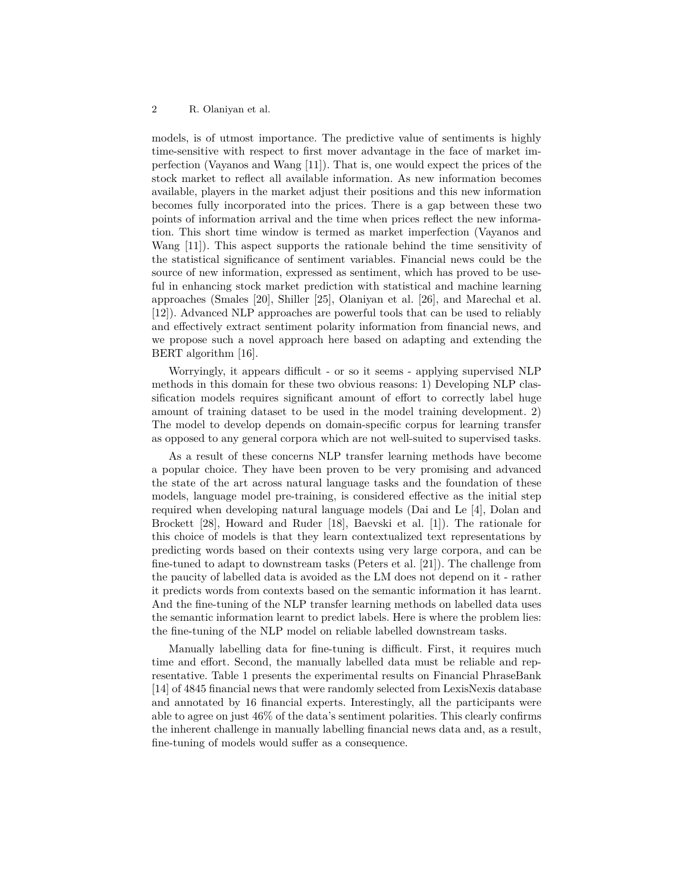models, is of utmost importance. The predictive value of sentiments is highly time-sensitive with respect to first mover advantage in the face of market imperfection (Vayanos and Wang [11]). That is, one would expect the prices of the stock market to reflect all available information. As new information becomes available, players in the market adjust their positions and this new information becomes fully incorporated into the prices. There is a gap between these two points of information arrival and the time when prices reflect the new information. This short time window is termed as market imperfection (Vayanos and Wang [11]). This aspect supports the rationale behind the time sensitivity of the statistical significance of sentiment variables. Financial news could be the source of new information, expressed as sentiment, which has proved to be useful in enhancing stock market prediction with statistical and machine learning approaches (Smales [20], Shiller [25], Olaniyan et al. [26], and Marechal et al. [12]). Advanced NLP approaches are powerful tools that can be used to reliably and effectively extract sentiment polarity information from financial news, and we propose such a novel approach here based on adapting and extending the BERT algorithm [16].

Worryingly, it appears difficult - or so it seems - applying supervised NLP methods in this domain for these two obvious reasons: 1) Developing NLP classification models requires significant amount of effort to correctly label huge amount of training dataset to be used in the model training development. 2) The model to develop depends on domain-specific corpus for learning transfer as opposed to any general corpora which are not well-suited to supervised tasks.

As a result of these concerns NLP transfer learning methods have become a popular choice. They have been proven to be very promising and advanced the state of the art across natural language tasks and the foundation of these models, language model pre-training, is considered effective as the initial step required when developing natural language models (Dai and Le [4], Dolan and Brockett [28], Howard and Ruder [18], Baevski et al. [1]). The rationale for this choice of models is that they learn contextualized text representations by predicting words based on their contexts using very large corpora, and can be fine-tuned to adapt to downstream tasks (Peters et al. [21]). The challenge from the paucity of labelled data is avoided as the LM does not depend on it - rather it predicts words from contexts based on the semantic information it has learnt. And the fine-tuning of the NLP transfer learning methods on labelled data uses the semantic information learnt to predict labels. Here is where the problem lies: the fine-tuning of the NLP model on reliable labelled downstream tasks.

Manually labelling data for fine-tuning is difficult. First, it requires much time and effort. Second, the manually labelled data must be reliable and representative. Table 1 presents the experimental results on Financial PhraseBank [14] of 4845 financial news that were randomly selected from LexisNexis database and annotated by 16 financial experts. Interestingly, all the participants were able to agree on just 46% of the data's sentiment polarities. This clearly confirms the inherent challenge in manually labelling financial news data and, as a result, fine-tuning of models would suffer as a consequence.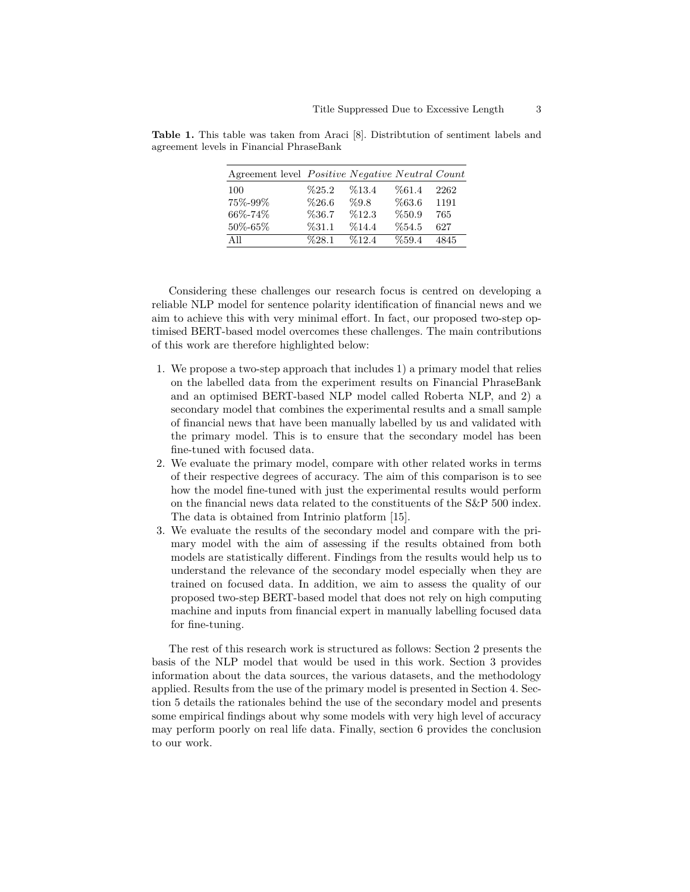| Agreement level <i>Positive Negative Neutral Count</i> |          |       |       |      |
|--------------------------------------------------------|----------|-------|-------|------|
| 100                                                    | $\%25.2$ | %13.4 | %61.4 | 2262 |
| 75%-99%                                                | %26.6    | %9.8  | %63.6 | 1191 |
| 66%-74%                                                | %36.7    | %12.3 | %50.9 | 765  |
| 50%-65%                                                | %31.1    | %14.4 | %54.5 | 627  |
| All                                                    | %28.1    | %12.4 | %59.4 | 4845 |

**Table 1.** This table was taken from Araci [8]. Distribtution of sentiment labels and agreement levels in Financial PhraseBank

Considering these challenges our research focus is centred on developing a reliable NLP model for sentence polarity identification of financial news and we aim to achieve this with very minimal effort. In fact, our proposed two-step optimised BERT-based model overcomes these challenges. The main contributions of this work are therefore highlighted below:

- 1. We propose a two-step approach that includes 1) a primary model that relies on the labelled data from the experiment results on Financial PhraseBank and an optimised BERT-based NLP model called Roberta NLP, and 2) a secondary model that combines the experimental results and a small sample of financial news that have been manually labelled by us and validated with the primary model. This is to ensure that the secondary model has been fine-tuned with focused data.
- 2. We evaluate the primary model, compare with other related works in terms of their respective degrees of accuracy. The aim of this comparison is to see how the model fine-tuned with just the experimental results would perform on the financial news data related to the constituents of the S&P 500 index. The data is obtained from Intrinio platform [15].
- 3. We evaluate the results of the secondary model and compare with the primary model with the aim of assessing if the results obtained from both models are statistically different. Findings from the results would help us to understand the relevance of the secondary model especially when they are trained on focused data. In addition, we aim to assess the quality of our proposed two-step BERT-based model that does not rely on high computing machine and inputs from financial expert in manually labelling focused data for fine-tuning.

The rest of this research work is structured as follows: Section 2 presents the basis of the NLP model that would be used in this work. Section 3 provides information about the data sources, the various datasets, and the methodology applied. Results from the use of the primary model is presented in Section 4. Section 5 details the rationales behind the use of the secondary model and presents some empirical findings about why some models with very high level of accuracy may perform poorly on real life data. Finally, section 6 provides the conclusion to our work.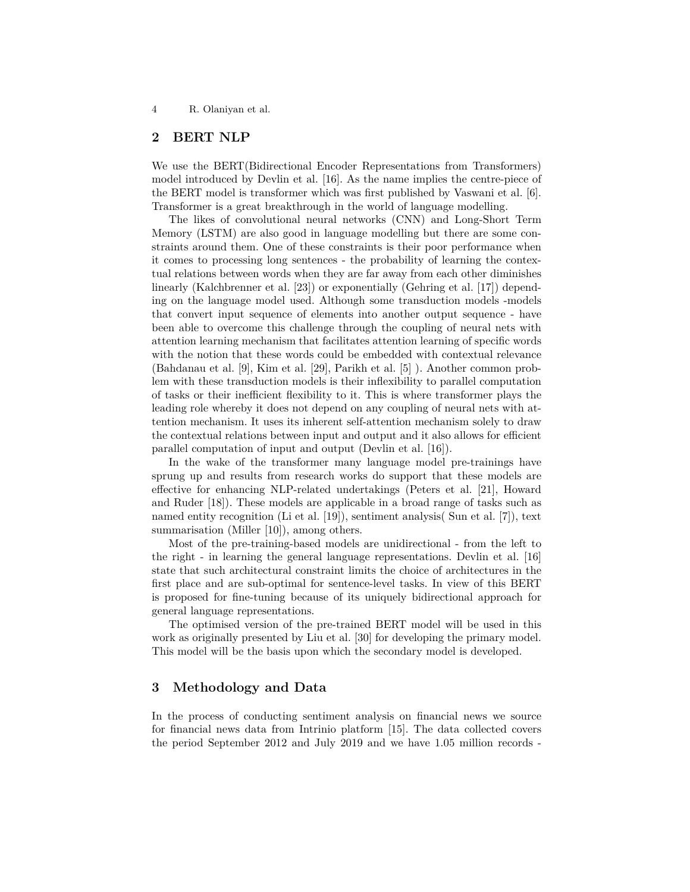## **2 BERT NLP**

We use the BERT(Bidirectional Encoder Representations from Transformers) model introduced by Devlin et al. [16]. As the name implies the centre-piece of the BERT model is transformer which was first published by Vaswani et al. [6]. Transformer is a great breakthrough in the world of language modelling.

The likes of convolutional neural networks (CNN) and Long-Short Term Memory (LSTM) are also good in language modelling but there are some constraints around them. One of these constraints is their poor performance when it comes to processing long sentences - the probability of learning the contextual relations between words when they are far away from each other diminishes linearly (Kalchbrenner et al. [23]) or exponentially (Gehring et al. [17]) depending on the language model used. Although some transduction models -models that convert input sequence of elements into another output sequence - have been able to overcome this challenge through the coupling of neural nets with attention learning mechanism that facilitates attention learning of specific words with the notion that these words could be embedded with contextual relevance (Bahdanau et al. [9], Kim et al. [29], Parikh et al. [5] ). Another common problem with these transduction models is their inflexibility to parallel computation of tasks or their inefficient flexibility to it. This is where transformer plays the leading role whereby it does not depend on any coupling of neural nets with attention mechanism. It uses its inherent self-attention mechanism solely to draw the contextual relations between input and output and it also allows for efficient parallel computation of input and output (Devlin et al. [16]).

In the wake of the transformer many language model pre-trainings have sprung up and results from research works do support that these models are effective for enhancing NLP-related undertakings (Peters et al. [21], Howard and Ruder [18]). These models are applicable in a broad range of tasks such as named entity recognition (Li et al. [19]), sentiment analysis( Sun et al. [7]), text summarisation (Miller [10]), among others.

Most of the pre-training-based models are unidirectional - from the left to the right - in learning the general language representations. Devlin et al. [16] state that such architectural constraint limits the choice of architectures in the first place and are sub-optimal for sentence-level tasks. In view of this BERT is proposed for fine-tuning because of its uniquely bidirectional approach for general language representations.

The optimised version of the pre-trained BERT model will be used in this work as originally presented by Liu et al. [30] for developing the primary model. This model will be the basis upon which the secondary model is developed.

### **3 Methodology and Data**

In the process of conducting sentiment analysis on financial news we source for financial news data from Intrinio platform [15]. The data collected covers the period September 2012 and July 2019 and we have 1.05 million records -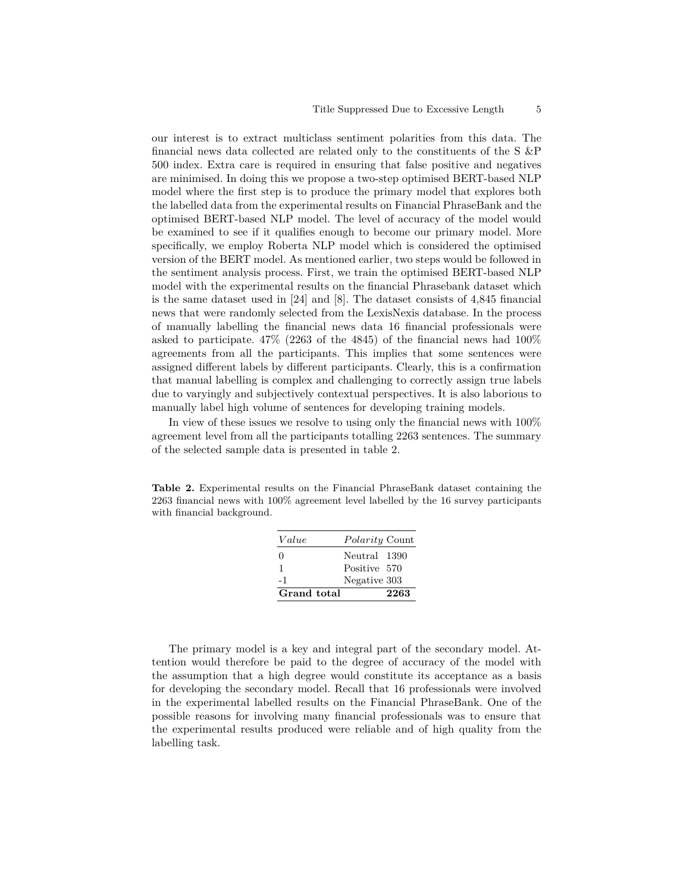our interest is to extract multiclass sentiment polarities from this data. The financial news data collected are related only to the constituents of the S &P 500 index. Extra care is required in ensuring that false positive and negatives are minimised. In doing this we propose a two-step optimised BERT-based NLP model where the first step is to produce the primary model that explores both the labelled data from the experimental results on Financial PhraseBank and the optimised BERT-based NLP model. The level of accuracy of the model would be examined to see if it qualifies enough to become our primary model. More specifically, we employ Roberta NLP model which is considered the optimised version of the BERT model. As mentioned earlier, two steps would be followed in the sentiment analysis process. First, we train the optimised BERT-based NLP model with the experimental results on the financial Phrasebank dataset which is the same dataset used in [24] and [8]. The dataset consists of 4,845 financial news that were randomly selected from the LexisNexis database. In the process of manually labelling the financial news data 16 financial professionals were asked to participate. 47% (2263 of the 4845) of the financial news had 100% agreements from all the participants. This implies that some sentences were assigned different labels by different participants. Clearly, this is a confirmation that manual labelling is complex and challenging to correctly assign true labels due to varyingly and subjectively contextual perspectives. It is also laborious to manually label high volume of sentences for developing training models.

In view of these issues we resolve to using only the financial news with 100% agreement level from all the participants totalling 2263 sentences. The summary of the selected sample data is presented in table 2.

**Table 2.** Experimental results on the Financial PhraseBank dataset containing the 2263 financial news with 100% agreement level labelled by the 16 survey participants with financial background.

| Value        | <i>Polarity</i> Count |      |
|--------------|-----------------------|------|
| $\mathbf{0}$ | Neutral 1390          |      |
| 1            | Positive 570          |      |
| -1           | Negative 303          |      |
| Grand total  |                       | 2263 |

The primary model is a key and integral part of the secondary model. Attention would therefore be paid to the degree of accuracy of the model with the assumption that a high degree would constitute its acceptance as a basis for developing the secondary model. Recall that 16 professionals were involved in the experimental labelled results on the Financial PhraseBank. One of the possible reasons for involving many financial professionals was to ensure that the experimental results produced were reliable and of high quality from the labelling task.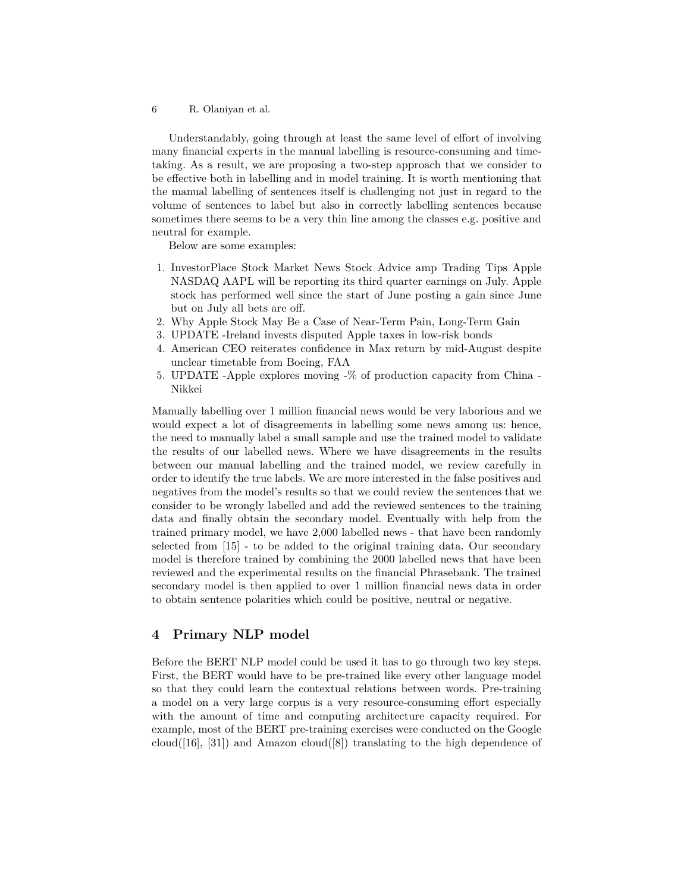Understandably, going through at least the same level of effort of involving many financial experts in the manual labelling is resource-consuming and timetaking. As a result, we are proposing a two-step approach that we consider to be effective both in labelling and in model training. It is worth mentioning that the manual labelling of sentences itself is challenging not just in regard to the volume of sentences to label but also in correctly labelling sentences because sometimes there seems to be a very thin line among the classes e.g. positive and neutral for example.

Below are some examples:

- 1. InvestorPlace Stock Market News Stock Advice amp Trading Tips Apple NASDAQ AAPL will be reporting its third quarter earnings on July. Apple stock has performed well since the start of June posting a gain since June but on July all bets are off.
- 2. Why Apple Stock May Be a Case of Near-Term Pain, Long-Term Gain
- 3. UPDATE -Ireland invests disputed Apple taxes in low-risk bonds
- 4. American CEO reiterates confidence in Max return by mid-August despite unclear timetable from Boeing, FAA
- 5. UPDATE -Apple explores moving -% of production capacity from China Nikkei

Manually labelling over 1 million financial news would be very laborious and we would expect a lot of disagreements in labelling some news among us: hence, the need to manually label a small sample and use the trained model to validate the results of our labelled news. Where we have disagreements in the results between our manual labelling and the trained model, we review carefully in order to identify the true labels. We are more interested in the false positives and negatives from the model's results so that we could review the sentences that we consider to be wrongly labelled and add the reviewed sentences to the training data and finally obtain the secondary model. Eventually with help from the trained primary model, we have 2,000 labelled news - that have been randomly selected from [15] - to be added to the original training data. Our secondary model is therefore trained by combining the 2000 labelled news that have been reviewed and the experimental results on the financial Phrasebank. The trained secondary model is then applied to over 1 million financial news data in order to obtain sentence polarities which could be positive, neutral or negative.

#### **4 Primary NLP model**

Before the BERT NLP model could be used it has to go through two key steps. First, the BERT would have to be pre-trained like every other language model so that they could learn the contextual relations between words. Pre-training a model on a very large corpus is a very resource-consuming effort especially with the amount of time and computing architecture capacity required. For example, most of the BERT pre-training exercises were conducted on the Google cloud( $[16]$ ,  $[31]$ ) and Amazon cloud( $[8]$ ) translating to the high dependence of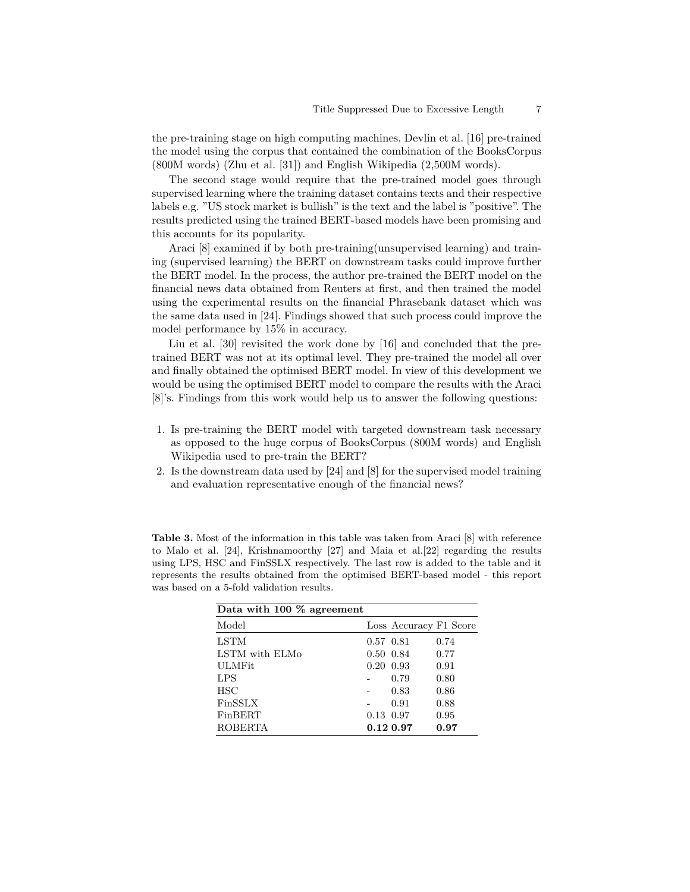the pre-training stage on high computing machines. Devlin et al. [16] pre-trained the model using the corpus that contained the combination of the BooksCorpus (800M words) (Zhu et al. [31]) and English Wikipedia (2,500M words).

The second stage would require that the pre-trained model goes through supervised learning where the training dataset contains texts and their respective labels e.g. "US stock market is bullish" is the text and the label is "positive". The results predicted using the trained BERT-based models have been promising and this accounts for its popularity.

Araci [8] examined if by both pre-training(unsupervised learning) and training (supervised learning) the BERT on downstream tasks could improve further the BERT model. In the process, the author pre-trained the BERT model on the financial news data obtained from Reuters at first, and then trained the model using the experimental results on the financial Phrasebank dataset which was the same data used in [24]. Findings showed that such process could improve the model performance by 15% in accuracy.

Liu et al. [30] revisited the work done by [16] and concluded that the pretrained BERT was not at its optimal level. They pre-trained the model all over and finally obtained the optimised BERT model. In view of this development we would be using the optimised BERT model to compare the results with the Araci [8]'s. Findings from this work would help us to answer the following questions:

- 1. Is pre-training the BERT model with targeted downstream task necessary as opposed to the huge corpus of BooksCorpus (800M words) and English Wikipedia used to pre-train the BERT?
- 2. Is the downstream data used by [24] and [8] for the supervised model training and evaluation representative enough of the financial news?

**Table 3.** Most of the information in this table was taken from Araci [8] with reference to Malo et al. [24], Krishnamoorthy [27] and Maia et al.[22] regarding the results using LPS, HSC and FinSSLX respectively. The last row is added to the table and it represents the results obtained from the optimised BERT-based model - this report was based on a 5-fold validation results.

| Data with 100 % agreement |                 |                        |      |
|---------------------------|-----------------|------------------------|------|
| Model                     |                 | Loss Accuracy F1 Score |      |
| LSTM                      | 0.57 0.81       |                        | 0.74 |
| LSTM with ELMo            | $0.50 \ \ 0.84$ |                        | 0.77 |
| <b>ULMFit</b>             | $0.20\ 0.93$    |                        | 0.91 |
| LPS                       |                 | 0.79                   | 0.80 |
| HSC                       |                 | 0.83                   | 0.86 |
| FinSSLX                   |                 | 0.91                   | 0.88 |
| FinBERT                   | 0.13 0.97       |                        | 0.95 |
| <b>ROBERTA</b>            |                 | $0.12\;0.97$           | 0.97 |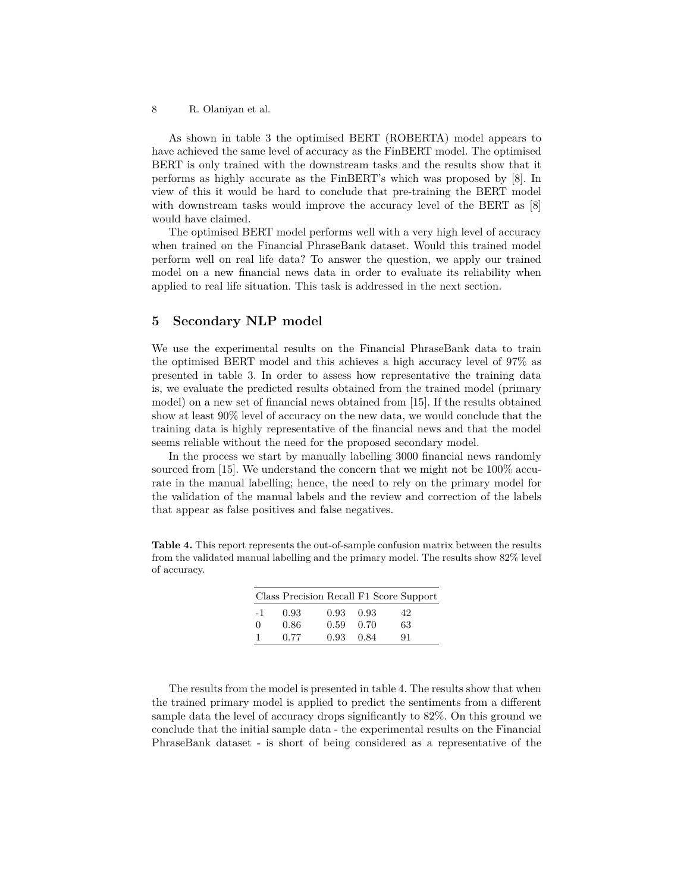As shown in table 3 the optimised BERT (ROBERTA) model appears to have achieved the same level of accuracy as the FinBERT model. The optimised BERT is only trained with the downstream tasks and the results show that it performs as highly accurate as the FinBERT's which was proposed by [8]. In view of this it would be hard to conclude that pre-training the BERT model with downstream tasks would improve the accuracy level of the BERT as [8] would have claimed.

The optimised BERT model performs well with a very high level of accuracy when trained on the Financial PhraseBank dataset. Would this trained model perform well on real life data? To answer the question, we apply our trained model on a new financial news data in order to evaluate its reliability when applied to real life situation. This task is addressed in the next section.

#### **5 Secondary NLP model**

We use the experimental results on the Financial PhraseBank data to train the optimised BERT model and this achieves a high accuracy level of 97% as presented in table 3. In order to assess how representative the training data is, we evaluate the predicted results obtained from the trained model (primary model) on a new set of financial news obtained from [15]. If the results obtained show at least 90% level of accuracy on the new data, we would conclude that the training data is highly representative of the financial news and that the model seems reliable without the need for the proposed secondary model.

In the process we start by manually labelling 3000 financial news randomly sourced from [15]. We understand the concern that we might not be 100% accurate in the manual labelling; hence, the need to rely on the primary model for the validation of the manual labels and the review and correction of the labels that appear as false positives and false negatives.

**Table 4.** This report represents the out-of-sample confusion matrix between the results from the validated manual labelling and the primary model. The results show 82% level of accuracy.

|          | Class Precision Recall F1 Score Support |                   |      |    |
|----------|-----------------------------------------|-------------------|------|----|
| $-1$     | 0.93                                    | $0.93 \quad 0.93$ |      | 42 |
| $\Omega$ | 0.86                                    | 0.59              | 0.70 | 63 |
|          | 0.77                                    | $0.93 \quad 0.84$ |      | 91 |

The results from the model is presented in table 4. The results show that when the trained primary model is applied to predict the sentiments from a different sample data the level of accuracy drops significantly to 82%. On this ground we conclude that the initial sample data - the experimental results on the Financial PhraseBank dataset - is short of being considered as a representative of the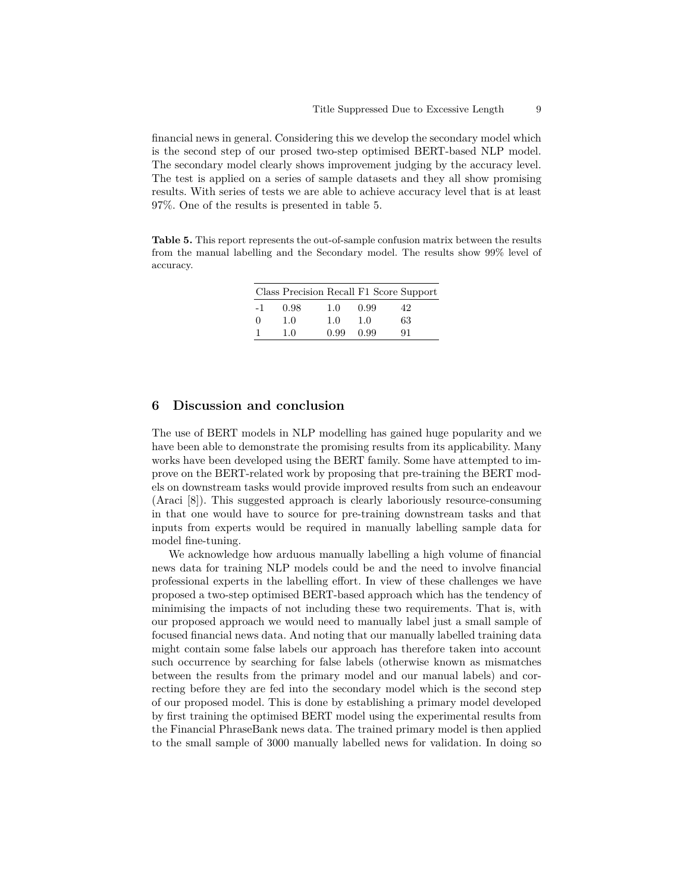financial news in general. Considering this we develop the secondary model which is the second step of our prosed two-step optimised BERT-based NLP model. The secondary model clearly shows improvement judging by the accuracy level. The test is applied on a series of sample datasets and they all show promising results. With series of tests we are able to achieve accuracy level that is at least 97%. One of the results is presented in table 5.

**Table 5.** This report represents the out-of-sample confusion matrix between the results from the manual labelling and the Secondary model. The results show 99% level of accuracy.

|          | Class Precision Recall F1 Score Support |      |      |    |
|----------|-----------------------------------------|------|------|----|
| $-1$     | 0.98                                    | 1.0  | 0.99 | 42 |
| $\Omega$ | 1.0                                     | 1.0  | 1.0  | 63 |
| 1        | 1.0                                     | 0.99 | 0.99 | 91 |

#### **6 Discussion and conclusion**

The use of BERT models in NLP modelling has gained huge popularity and we have been able to demonstrate the promising results from its applicability. Many works have been developed using the BERT family. Some have attempted to improve on the BERT-related work by proposing that pre-training the BERT models on downstream tasks would provide improved results from such an endeavour (Araci [8]). This suggested approach is clearly laboriously resource-consuming in that one would have to source for pre-training downstream tasks and that inputs from experts would be required in manually labelling sample data for model fine-tuning.

We acknowledge how arduous manually labelling a high volume of financial news data for training NLP models could be and the need to involve financial professional experts in the labelling effort. In view of these challenges we have proposed a two-step optimised BERT-based approach which has the tendency of minimising the impacts of not including these two requirements. That is, with our proposed approach we would need to manually label just a small sample of focused financial news data. And noting that our manually labelled training data might contain some false labels our approach has therefore taken into account such occurrence by searching for false labels (otherwise known as mismatches between the results from the primary model and our manual labels) and correcting before they are fed into the secondary model which is the second step of our proposed model. This is done by establishing a primary model developed by first training the optimised BERT model using the experimental results from the Financial PhraseBank news data. The trained primary model is then applied to the small sample of 3000 manually labelled news for validation. In doing so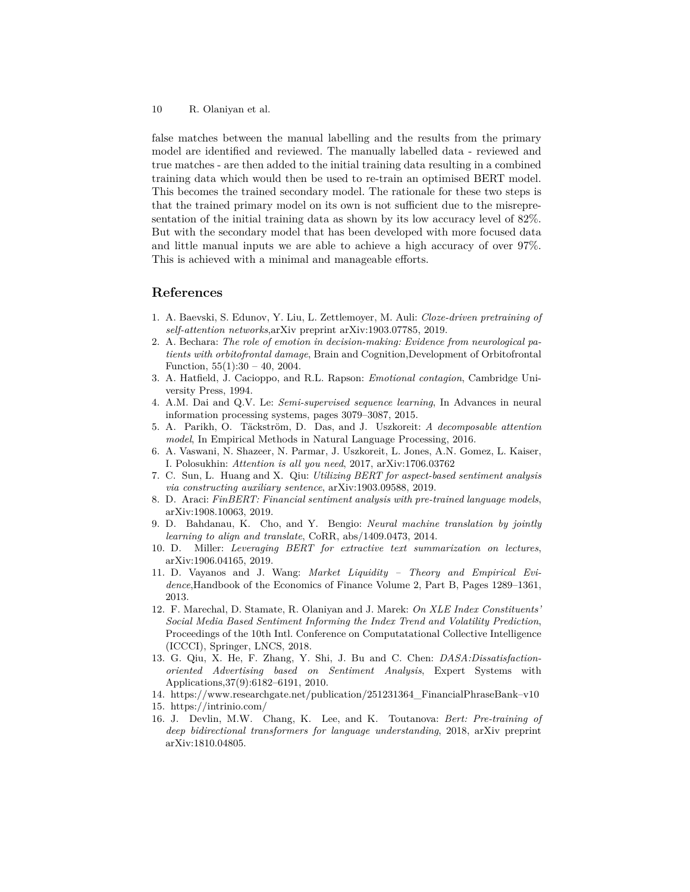false matches between the manual labelling and the results from the primary model are identified and reviewed. The manually labelled data - reviewed and true matches - are then added to the initial training data resulting in a combined training data which would then be used to re-train an optimised BERT model. This becomes the trained secondary model. The rationale for these two steps is that the trained primary model on its own is not sufficient due to the misrepresentation of the initial training data as shown by its low accuracy level of 82%. But with the secondary model that has been developed with more focused data and little manual inputs we are able to achieve a high accuracy of over 97%. This is achieved with a minimal and manageable efforts.

#### **References**

- 1. A. Baevski, S. Edunov, Y. Liu, L. Zettlemoyer, M. Auli: *Cloze-driven pretraining of self-attention networks*,arXiv preprint arXiv:1903.07785, 2019.
- 2. A. Bechara: *The role of emotion in decision-making: Evidence from neurological patients with orbitofrontal damage*, Brain and Cognition,Development of Orbitofrontal Function,  $55(1):30 - 40$ ,  $2004$ .
- 3. A. Hatfield, J. Cacioppo, and R.L. Rapson: *Emotional contagion*, Cambridge University Press, 1994.
- 4. A.M. Dai and Q.V. Le: *Semi-supervised sequence learning*, In Advances in neural information processing systems, pages 3079–3087, 2015.
- 5. A. Parikh, O. Täckström, D. Das, and J. Uszkoreit: *A decomposable attention model*, In Empirical Methods in Natural Language Processing, 2016.
- 6. A. Vaswani, N. Shazeer, N. Parmar, J. Uszkoreit, L. Jones, A.N. Gomez, L. Kaiser, I. Polosukhin: *Attention is all you need*, 2017, arXiv:1706.03762
- 7. C. Sun, L. Huang and X. Qiu: *Utilizing BERT for aspect-based sentiment analysis via constructing auxiliary sentence*, arXiv:1903.09588, 2019.
- 8. D. Araci: *FinBERT: Financial sentiment analysis with pre-trained language models*, arXiv:1908.10063, 2019.
- 9. D. Bahdanau, K. Cho, and Y. Bengio: *Neural machine translation by jointly learning to align and translate*, CoRR, abs/1409.0473, 2014.
- 10. D. Miller: *Leveraging BERT for extractive text summarization on lectures*, arXiv:1906.04165, 2019.
- 11. D. Vayanos and J. Wang: *Market Liquidity Theory and Empirical Evidence*,Handbook of the Economics of Finance Volume 2, Part B, Pages 1289–1361, 2013.
- 12. F. Marechal, D. Stamate, R. Olaniyan and J. Marek: *On XLE Index Constituents' Social Media Based Sentiment Informing the Index Trend and Volatility Prediction*, Proceedings of the 10th Intl. Conference on Computatational Collective Intelligence (ICCCI), Springer, LNCS, 2018.
- 13. G. Qiu, X. He, F. Zhang, Y. Shi, J. Bu and C. Chen: *DASA:Dissatisfactionoriented Advertising based on Sentiment Analysis*, Expert Systems with Applications,37(9):6182–6191, 2010.
- 14. https://www.researchgate.net/publication/251231364\_FinancialPhraseBank–v10
- 15. https://intrinio.com/
- 16. J. Devlin, M.W. Chang, K. Lee, and K. Toutanova: *Bert: Pre-training of deep bidirectional transformers for language understanding*, 2018, arXiv preprint arXiv:1810.04805.